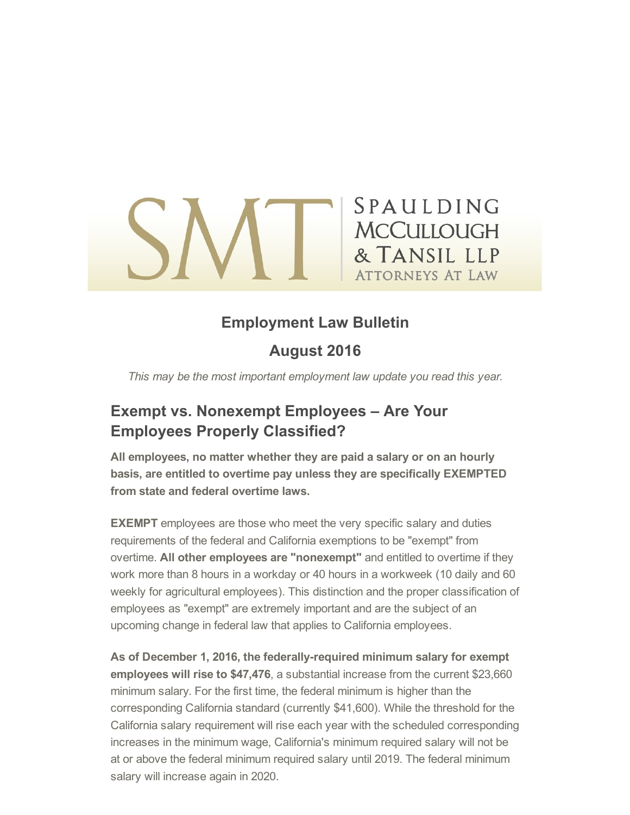# SPAULDING **MCCULLOUGH** & TANSIL LLP **ATTORNEYS AT LAW**

## Employment Law Bulletin

### August 2016

This may be the most important employment law update you read this year.

### Exempt vs. Nonexempt Employees – Are Your Employees Properly Classified?

All employees, no matter whether they are paid a salary or on an hourly basis, are entitled to overtime pay unless they are specifically EXEMPTED from state and federal overtime laws.

**EXEMPT** employees are those who meet the very specific salary and duties requirements of the federal and California exemptions to be "exempt" from overtime. All other employees are "nonexempt" and entitled to overtime if they work more than 8 hours in a workday or 40 hours in a workweek (10 daily and 60 weekly for agricultural employees). This distinction and the proper classification of employees as "exempt" are extremely important and are the subject of an upcoming change in federal law that applies to California employees.

As of December 1, 2016, the federally-required minimum salary for exempt employees will rise to \$47,476, a substantial increase from the current \$23,660 minimum salary. For the first time, the federal minimum is higher than the corresponding California standard (currently \$41,600). While the threshold for the California salary requirement will rise each year with the scheduled corresponding increases in the minimum wage, California's minimum required salary will not be at or above the federal minimum required salary until 2019. The federal minimum salary will increase again in 2020.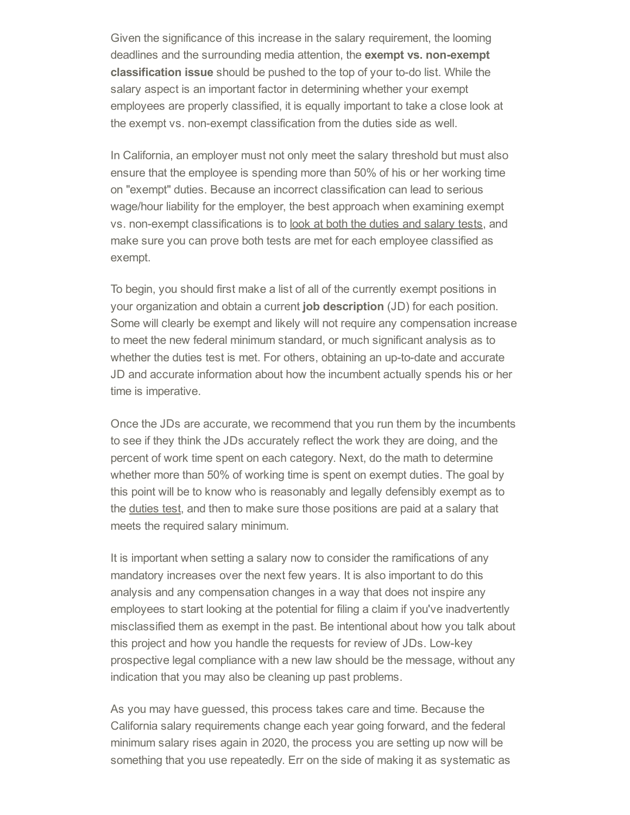Given the significance of this increase in the salary requirement, the looming deadlines and the surrounding media attention, the exempt vs. non-exempt **classification issue** should be pushed to the top of your to-do list. While the salary aspect is an important factor in determining whether your exempt employees are properly classified, it is equally important to take a close look at the exempt vs. non-exempt classification from the duties side as well.

In California, an employer must not only meet the salary threshold but must also ensure that the employee is spending more than 50% of his or her working time on "exempt" duties. Because an incorrect classification can lead to serious wage/hour liability for the employer, the best approach when examining exempt vs. nonexempt classifications is to look at both the duties and salary tests, and make sure you can prove both tests are met for each employee classified as exempt.

To begin, you should first make a list of all of the currently exempt positions in your organization and obtain a current job description (JD) for each position. Some will clearly be exempt and likely will not require any compensation increase to meet the new federal minimum standard, or much significant analysis as to whether the duties test is met. For others, obtaining an up-to-date and accurate JD and accurate information about how the incumbent actually spends his or her time is imperative.

Once the JDs are accurate, we recommend that you run them by the incumbents to see if they think the JDs accurately reflect the work they are doing, and the percent of work time spent on each category. Next, do the math to determine whether more than 50% of working time is spent on exempt duties. The goal by this point will be to know who is reasonably and legally defensibly exempt as to the duties test, and then to make sure those positions are paid at a salary that meets the required salary minimum.

It is important when setting a salary now to consider the ramifications of any mandatory increases over the next few years. It is also important to do this analysis and any compensation changes in a way that does not inspire any employees to start looking at the potential for filing a claim if you've inadvertently misclassified them as exempt in the past. Be intentional about how you talk about this project and how you handle the requests for review of JDs. Low-key prospective legal compliance with a new law should be the message, without any indication that you may also be cleaning up past problems.

As you may have guessed, this process takes care and time. Because the California salary requirements change each year going forward, and the federal minimum salary rises again in 2020, the process you are setting up now will be something that you use repeatedly. Err on the side of making it as systematic as